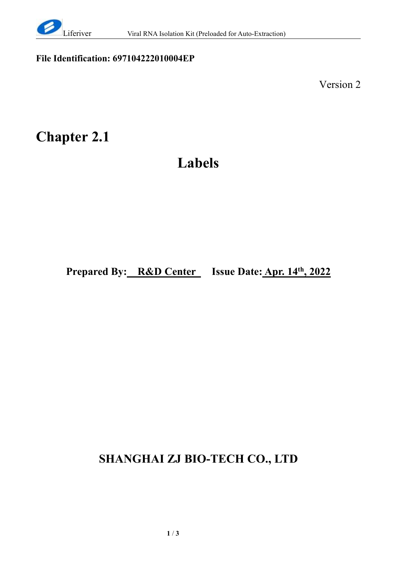

## **File Identification: 697104222010004EP**

Version 2

## **Chapter 2.1**

## **Labels**

**Prepared By: R&D Center Issue Date: Apr. 14 th , 2022**

## **SHANGHAI ZJ BIO-TECH CO., LTD**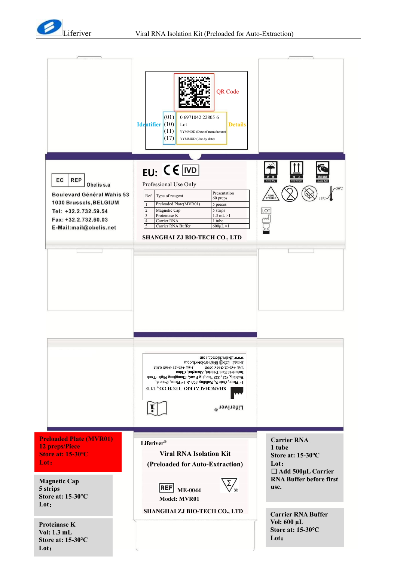